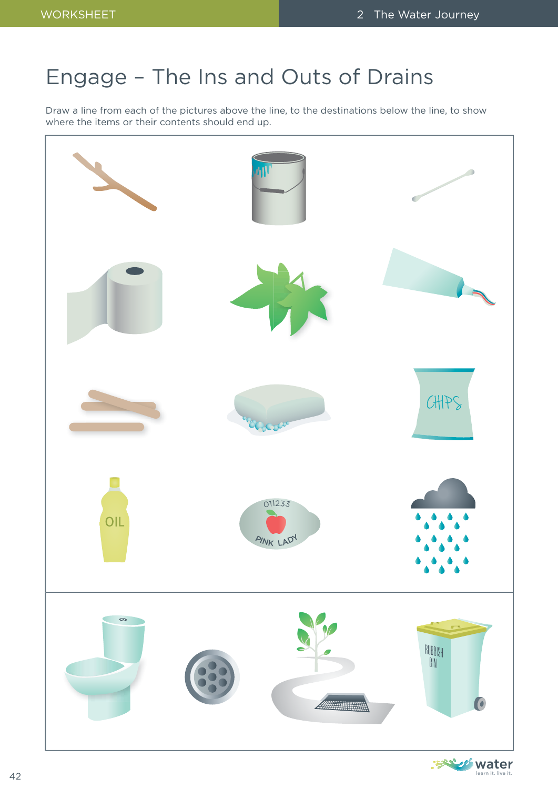# Engage – The Ins and Outs of Drains

Draw a line from each of the pictures above the line, to the destinations below the line, to show where the items or their contents should end up.